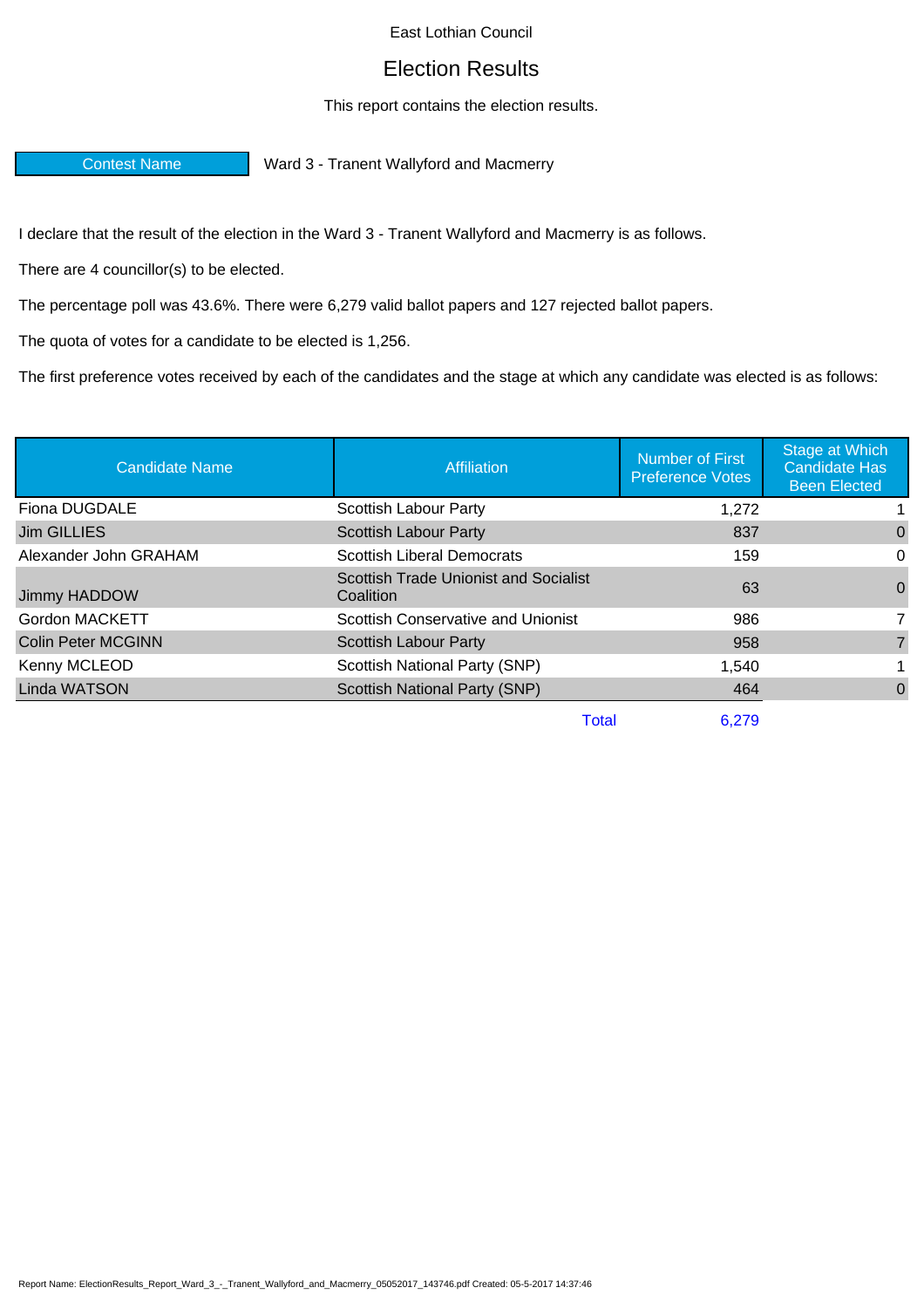## East Lothian Council

## Election Results

## This report contains the election results.

Contest Name Ward 3 - Tranent Wallyford and Macmerry

I declare that the result of the election in the Ward 3 - Tranent Wallyford and Macmerry is as follows.

There are 4 councillor(s) to be elected.

The percentage poll was 43.6%. There were 6,279 valid ballot papers and 127 rejected ballot papers.

The quota of votes for a candidate to be elected is 1,256.

The first preference votes received by each of the candidates and the stage at which any candidate was elected is as follows:

| <b>Affiliation</b>                                 | <b>Number of First</b><br><b>Preference Votes</b> | Stage at Which<br><b>Candidate Has</b><br><b>Been Elected</b> |
|----------------------------------------------------|---------------------------------------------------|---------------------------------------------------------------|
| Scottish Labour Party                              | 1,272                                             |                                                               |
| <b>Scottish Labour Party</b>                       | 837                                               | 0                                                             |
| <b>Scottish Liberal Democrats</b>                  | 159                                               | 0                                                             |
| Scottish Trade Unionist and Socialist<br>Coalition | 63                                                | $\Omega$                                                      |
| Scottish Conservative and Unionist                 | 986                                               |                                                               |
| <b>Scottish Labour Party</b>                       | 958                                               | $\overline{7}$                                                |
| Scottish National Party (SNP)                      | 1,540                                             |                                                               |
| Scottish National Party (SNP)                      | 464                                               | $\Omega$                                                      |
|                                                    |                                                   |                                                               |

Total 6,279